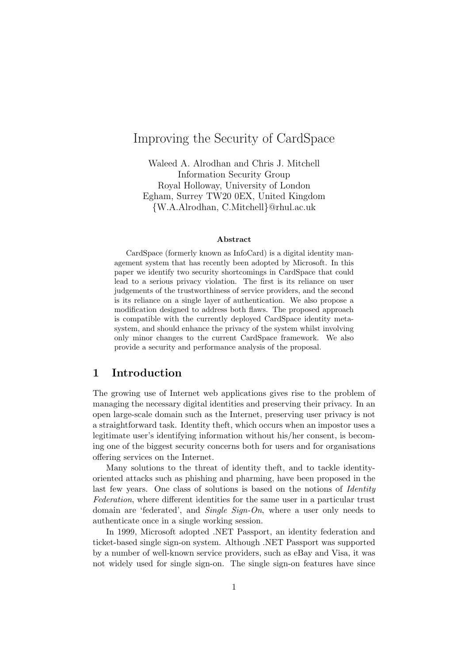# Improving the Security of CardSpace

Waleed A. Alrodhan and Chris J. Mitchell Information Security Group Royal Holloway, University of London Egham, Surrey TW20 0EX, United Kingdom {W.A.Alrodhan, C.Mitchell}@rhul.ac.uk

#### Abstract

CardSpace (formerly known as InfoCard) is a digital identity management system that has recently been adopted by Microsoft. In this paper we identify two security shortcomings in CardSpace that could lead to a serious privacy violation. The first is its reliance on user judgements of the trustworthiness of service providers, and the second is its reliance on a single layer of authentication. We also propose a modification designed to address both flaws. The proposed approach is compatible with the currently deployed CardSpace identity metasystem, and should enhance the privacy of the system whilst involving only minor changes to the current CardSpace framework. We also provide a security and performance analysis of the proposal.

# 1 Introduction

The growing use of Internet web applications gives rise to the problem of managing the necessary digital identities and preserving their privacy. In an open large-scale domain such as the Internet, preserving user privacy is not a straightforward task. Identity theft, which occurs when an impostor uses a legitimate user's identifying information without his/her consent, is becoming one of the biggest security concerns both for users and for organisations offering services on the Internet.

Many solutions to the threat of identity theft, and to tackle identityoriented attacks such as phishing and pharming, have been proposed in the last few years. One class of solutions is based on the notions of *Identity* Federation, where different identities for the same user in a particular trust domain are 'federated', and Single Sign-On, where a user only needs to authenticate once in a single working session.

In 1999, Microsoft adopted .NET Passport, an identity federation and ticket-based single sign-on system. Although .NET Passport was supported by a number of well-known service providers, such as eBay and Visa, it was not widely used for single sign-on. The single sign-on features have since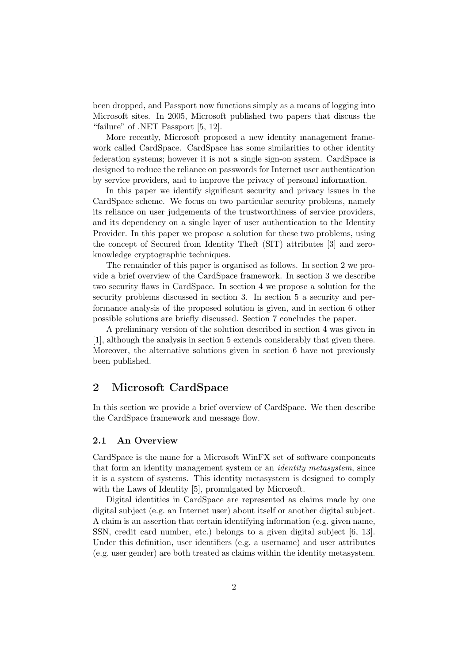been dropped, and Passport now functions simply as a means of logging into Microsoft sites. In 2005, Microsoft published two papers that discuss the "failure" of .NET Passport [5, 12].

More recently, Microsoft proposed a new identity management framework called CardSpace. CardSpace has some similarities to other identity federation systems; however it is not a single sign-on system. CardSpace is designed to reduce the reliance on passwords for Internet user authentication by service providers, and to improve the privacy of personal information.

In this paper we identify significant security and privacy issues in the CardSpace scheme. We focus on two particular security problems, namely its reliance on user judgements of the trustworthiness of service providers, and its dependency on a single layer of user authentication to the Identity Provider. In this paper we propose a solution for these two problems, using the concept of Secured from Identity Theft (SIT) attributes [3] and zeroknowledge cryptographic techniques.

The remainder of this paper is organised as follows. In section 2 we provide a brief overview of the CardSpace framework. In section 3 we describe two security flaws in CardSpace. In section 4 we propose a solution for the security problems discussed in section 3. In section 5 a security and performance analysis of the proposed solution is given, and in section 6 other possible solutions are briefly discussed. Section 7 concludes the paper.

A preliminary version of the solution described in section 4 was given in [1], although the analysis in section 5 extends considerably that given there. Moreover, the alternative solutions given in section 6 have not previously been published.

# 2 Microsoft CardSpace

In this section we provide a brief overview of CardSpace. We then describe the CardSpace framework and message flow.

### 2.1 An Overview

CardSpace is the name for a Microsoft WinFX set of software components that form an identity management system or an identity metasystem, since it is a system of systems. This identity metasystem is designed to comply with the Laws of Identity [5], promulgated by Microsoft.

Digital identities in CardSpace are represented as claims made by one digital subject (e.g. an Internet user) about itself or another digital subject. A claim is an assertion that certain identifying information (e.g. given name, SSN, credit card number, etc.) belongs to a given digital subject [6, 13]. Under this definition, user identifiers (e.g. a username) and user attributes (e.g. user gender) are both treated as claims within the identity metasystem.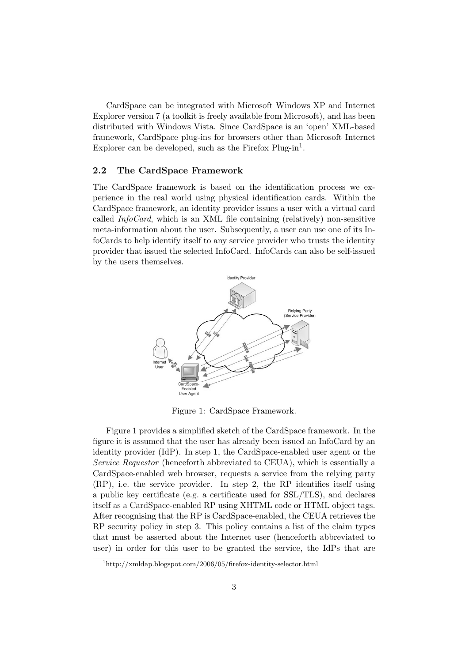CardSpace can be integrated with Microsoft Windows XP and Internet Explorer version 7 (a toolkit is freely available from Microsoft), and has been distributed with Windows Vista. Since CardSpace is an 'open' XML-based framework, CardSpace plug-ins for browsers other than Microsoft Internet Explorer can be developed, such as the Firefox Plug-in<sup>1</sup>.

### 2.2 The CardSpace Framework

The CardSpace framework is based on the identification process we experience in the real world using physical identification cards. Within the CardSpace framework, an identity provider issues a user with a virtual card called  $InfoCard$ , which is an XML file containing (relatively) non-sensitive meta-information about the user. Subsequently, a user can use one of its InfoCards to help identify itself to any service provider who trusts the identity provider that issued the selected InfoCard. InfoCards can also be self-issued by the users themselves.



Figure 1: CardSpace Framework.

Figure 1 provides a simplified sketch of the CardSpace framework. In the figure it is assumed that the user has already been issued an InfoCard by an identity provider (IdP). In step 1, the CardSpace-enabled user agent or the Service Requestor (henceforth abbreviated to CEUA), which is essentially a CardSpace-enabled web browser, requests a service from the relying party (RP), i.e. the service provider. In step 2, the RP identifies itself using a public key certificate (e.g. a certificate used for SSL/TLS), and declares itself as a CardSpace-enabled RP using XHTML code or HTML object tags. After recognising that the RP is CardSpace-enabled, the CEUA retrieves the RP security policy in step 3. This policy contains a list of the claim types that must be asserted about the Internet user (henceforth abbreviated to user) in order for this user to be granted the service, the IdPs that are

 $1<sup>1</sup>$ http://xmldap.blogspot.com/2006/05/firefox-identity-selector.html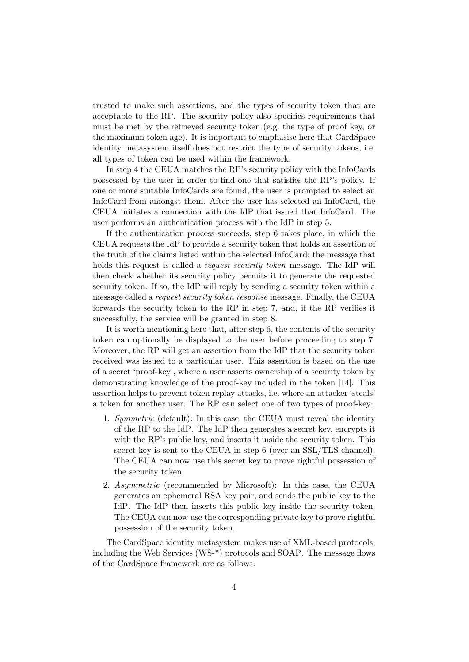trusted to make such assertions, and the types of security token that are acceptable to the RP. The security policy also specifies requirements that must be met by the retrieved security token (e.g. the type of proof key, or the maximum token age). It is important to emphasise here that CardSpace identity metasystem itself does not restrict the type of security tokens, i.e. all types of token can be used within the framework.

In step 4 the CEUA matches the RP's security policy with the InfoCards possessed by the user in order to find one that satisfies the RP's policy. If one or more suitable InfoCards are found, the user is prompted to select an InfoCard from amongst them. After the user has selected an InfoCard, the CEUA initiates a connection with the IdP that issued that InfoCard. The user performs an authentication process with the IdP in step 5.

If the authentication process succeeds, step 6 takes place, in which the CEUA requests the IdP to provide a security token that holds an assertion of the truth of the claims listed within the selected InfoCard; the message that holds this request is called a request security token message. The IdP will then check whether its security policy permits it to generate the requested security token. If so, the IdP will reply by sending a security token within a message called a request security token response message. Finally, the CEUA forwards the security token to the RP in step 7, and, if the RP verifies it successfully, the service will be granted in step 8.

It is worth mentioning here that, after step 6, the contents of the security token can optionally be displayed to the user before proceeding to step 7. Moreover, the RP will get an assertion from the IdP that the security token received was issued to a particular user. This assertion is based on the use of a secret 'proof-key', where a user asserts ownership of a security token by demonstrating knowledge of the proof-key included in the token [14]. This assertion helps to prevent token replay attacks, i.e. where an attacker 'steals' a token for another user. The RP can select one of two types of proof-key:

- 1. Symmetric (default): In this case, the CEUA must reveal the identity of the RP to the IdP. The IdP then generates a secret key, encrypts it with the RP's public key, and inserts it inside the security token. This secret key is sent to the CEUA in step 6 (over an SSL/TLS channel). The CEUA can now use this secret key to prove rightful possession of the security token.
- 2. Asymmetric (recommended by Microsoft): In this case, the CEUA generates an ephemeral RSA key pair, and sends the public key to the IdP. The IdP then inserts this public key inside the security token. The CEUA can now use the corresponding private key to prove rightful possession of the security token.

The CardSpace identity metasystem makes use of XML-based protocols, including the Web Services (WS-\*) protocols and SOAP. The message flows of the CardSpace framework are as follows: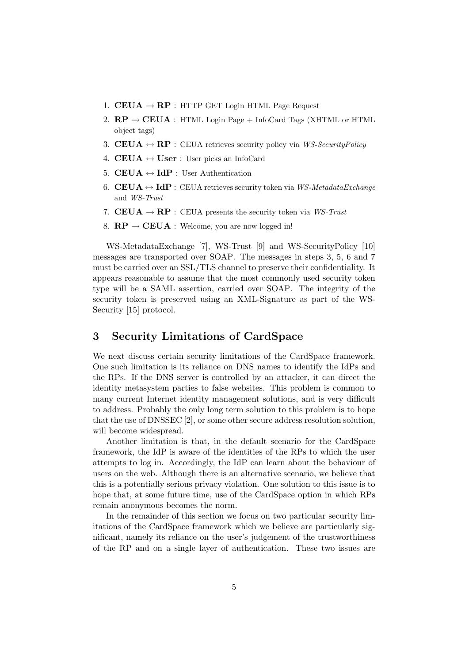- 1. **CEUA**  $\rightarrow$  **RP** : HTTP GET Login HTML Page Request
- 2.  $RP \rightarrow CEUA$ : HTML Login Page + InfoCard Tags (XHTML or HTML object tags)
- 3. CEUA  $\leftrightarrow$  RP : CEUA retrieves security policy via WS-SecurityPolicy
- 4. **CEUA**  $\leftrightarrow$  **User** : User picks an InfoCard
- 5. **CEUA**  $\leftrightarrow$  **IdP** : User Authentication
- 6. **CEUA**  $\leftrightarrow$  **IdP** : CEUA retrieves security token via WS-MetadataExchange and WS-Trust
- 7. **CEUA**  $\rightarrow$  **RP** : CEUA presents the security token via WS-Trust
- 8.  $\mathbb{RP} \to \mathbb{CEUA}$  : Welcome, you are now logged in!

WS-MetadataExchange [7], WS-Trust [9] and WS-SecurityPolicy [10] messages are transported over SOAP. The messages in steps 3, 5, 6 and 7 must be carried over an SSL/TLS channel to preserve their confidentiality. It appears reasonable to assume that the most commonly used security token type will be a SAML assertion, carried over SOAP. The integrity of the security token is preserved using an XML-Signature as part of the WS-Security [15] protocol.

# 3 Security Limitations of CardSpace

We next discuss certain security limitations of the CardSpace framework. One such limitation is its reliance on DNS names to identify the IdPs and the RPs. If the DNS server is controlled by an attacker, it can direct the identity metasystem parties to false websites. This problem is common to many current Internet identity management solutions, and is very difficult to address. Probably the only long term solution to this problem is to hope that the use of DNSSEC [2], or some other secure address resolution solution, will become widespread.

Another limitation is that, in the default scenario for the CardSpace framework, the IdP is aware of the identities of the RPs to which the user attempts to log in. Accordingly, the IdP can learn about the behaviour of users on the web. Although there is an alternative scenario, we believe that this is a potentially serious privacy violation. One solution to this issue is to hope that, at some future time, use of the CardSpace option in which RPs remain anonymous becomes the norm.

In the remainder of this section we focus on two particular security limitations of the CardSpace framework which we believe are particularly significant, namely its reliance on the user's judgement of the trustworthiness of the RP and on a single layer of authentication. These two issues are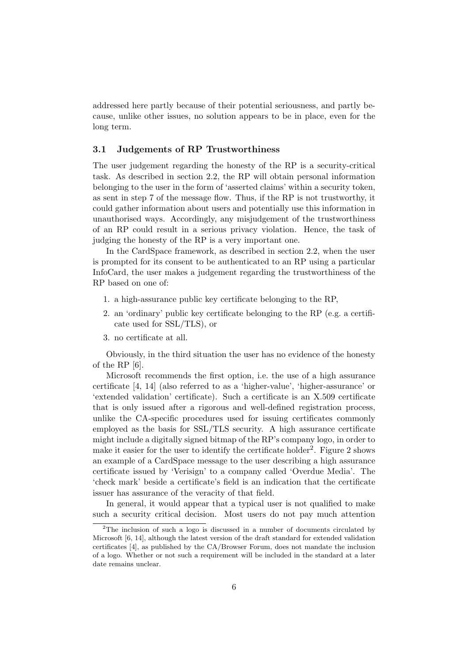addressed here partly because of their potential seriousness, and partly because, unlike other issues, no solution appears to be in place, even for the long term.

#### 3.1 Judgements of RP Trustworthiness

The user judgement regarding the honesty of the RP is a security-critical task. As described in section 2.2, the RP will obtain personal information belonging to the user in the form of 'asserted claims' within a security token, as sent in step 7 of the message flow. Thus, if the RP is not trustworthy, it could gather information about users and potentially use this information in unauthorised ways. Accordingly, any misjudgement of the trustworthiness of an RP could result in a serious privacy violation. Hence, the task of judging the honesty of the RP is a very important one.

In the CardSpace framework, as described in section 2.2, when the user is prompted for its consent to be authenticated to an RP using a particular InfoCard, the user makes a judgement regarding the trustworthiness of the RP based on one of:

- 1. a high-assurance public key certificate belonging to the RP,
- 2. an 'ordinary' public key certificate belonging to the RP (e.g. a certificate used for SSL/TLS), or
- 3. no certificate at all.

Obviously, in the third situation the user has no evidence of the honesty of the RP [6].

Microsoft recommends the first option, i.e. the use of a high assurance certificate [4, 14] (also referred to as a 'higher-value', 'higher-assurance' or 'extended validation' certificate). Such a certificate is an X.509 certificate that is only issued after a rigorous and well-defined registration process, unlike the CA-specific procedures used for issuing certificates commonly employed as the basis for SSL/TLS security. A high assurance certificate might include a digitally signed bitmap of the RP's company logo, in order to make it easier for the user to identify the certificate holder<sup>2</sup>. Figure 2 shows an example of a CardSpace message to the user describing a high assurance certificate issued by 'Verisign' to a company called 'Overdue Media'. The 'check mark' beside a certificate's field is an indication that the certificate issuer has assurance of the veracity of that field.

In general, it would appear that a typical user is not qualified to make such a security critical decision. Most users do not pay much attention

<sup>&</sup>lt;sup>2</sup>The inclusion of such a logo is discussed in a number of documents circulated by Microsoft [6, 14], although the latest version of the draft standard for extended validation certificates [4], as published by the CA/Browser Forum, does not mandate the inclusion of a logo. Whether or not such a requirement will be included in the standard at a later date remains unclear.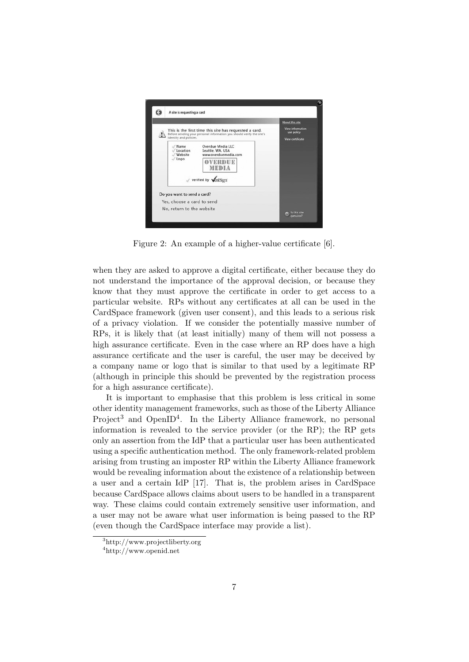

Figure 2: An example of a higher-value certificate [6].

when they are asked to approve a digital certificate, either because they do not understand the importance of the approval decision, or because they know that they must approve the certificate in order to get access to a particular website. RPs without any certificates at all can be used in the CardSpace framework (given user consent), and this leads to a serious risk of a privacy violation. If we consider the potentially massive number of RPs, it is likely that (at least initially) many of them will not possess a high assurance certificate. Even in the case where an RP does have a high assurance certificate and the user is careful, the user may be deceived by a company name or logo that is similar to that used by a legitimate RP (although in principle this should be prevented by the registration process for a high assurance certificate).

It is important to emphasise that this problem is less critical in some other identity management frameworks, such as those of the Liberty Alliance Project<sup>3</sup> and OpenID<sup>4</sup>. In the Liberty Alliance framework, no personal information is revealed to the service provider (or the RP); the RP gets only an assertion from the IdP that a particular user has been authenticated using a specific authentication method. The only framework-related problem arising from trusting an imposter RP within the Liberty Alliance framework would be revealing information about the existence of a relationship between a user and a certain IdP [17]. That is, the problem arises in CardSpace because CardSpace allows claims about users to be handled in a transparent way. These claims could contain extremely sensitive user information, and a user may not be aware what user information is being passed to the RP (even though the CardSpace interface may provide a list).

<sup>3</sup>http://www.projectliberty.org

<sup>4</sup>http://www.openid.net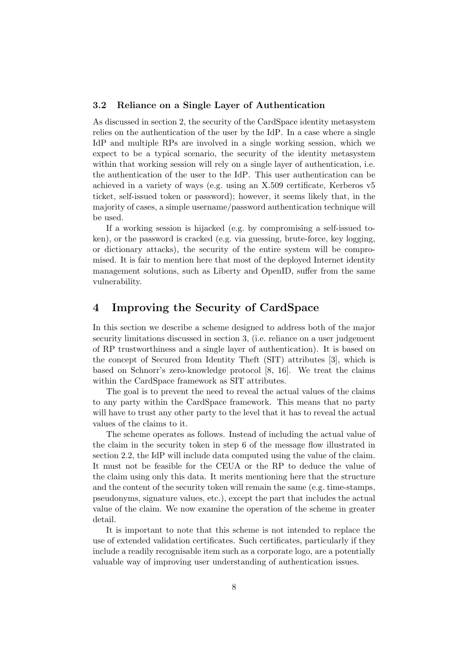### 3.2 Reliance on a Single Layer of Authentication

As discussed in section 2, the security of the CardSpace identity metasystem relies on the authentication of the user by the IdP. In a case where a single IdP and multiple RPs are involved in a single working session, which we expect to be a typical scenario, the security of the identity metasystem within that working session will rely on a single layer of authentication, i.e. the authentication of the user to the IdP. This user authentication can be achieved in a variety of ways (e.g. using an X.509 certificate, Kerberos v5 ticket, self-issued token or password); however, it seems likely that, in the majority of cases, a simple username/password authentication technique will be used.

If a working session is hijacked (e.g. by compromising a self-issued token), or the password is cracked (e.g. via guessing, brute-force, key logging, or dictionary attacks), the security of the entire system will be compromised. It is fair to mention here that most of the deployed Internet identity management solutions, such as Liberty and OpenID, suffer from the same vulnerability.

# 4 Improving the Security of CardSpace

In this section we describe a scheme designed to address both of the major security limitations discussed in section 3, (i.e. reliance on a user judgement of RP trustworthiness and a single layer of authentication). It is based on the concept of Secured from Identity Theft (SIT) attributes [3], which is based on Schnorr's zero-knowledge protocol [8, 16]. We treat the claims within the CardSpace framework as SIT attributes.

The goal is to prevent the need to reveal the actual values of the claims to any party within the CardSpace framework. This means that no party will have to trust any other party to the level that it has to reveal the actual values of the claims to it.

The scheme operates as follows. Instead of including the actual value of the claim in the security token in step 6 of the message flow illustrated in section 2.2, the IdP will include data computed using the value of the claim. It must not be feasible for the CEUA or the RP to deduce the value of the claim using only this data. It merits mentioning here that the structure and the content of the security token will remain the same (e.g. time-stamps, pseudonyms, signature values, etc.), except the part that includes the actual value of the claim. We now examine the operation of the scheme in greater detail.

It is important to note that this scheme is not intended to replace the use of extended validation certificates. Such certificates, particularly if they include a readily recognisable item such as a corporate logo, are a potentially valuable way of improving user understanding of authentication issues.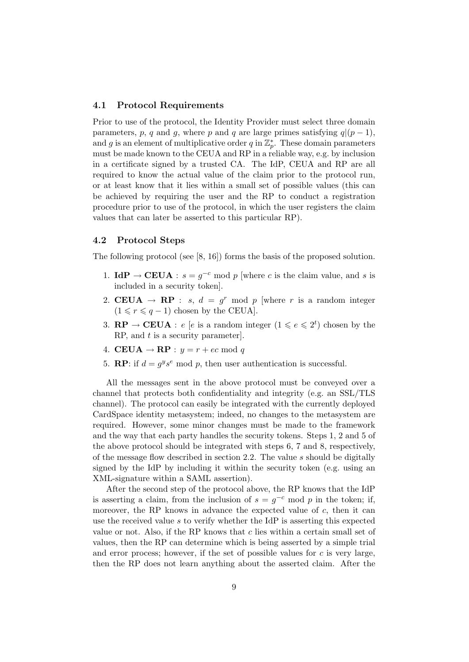#### 4.1 Protocol Requirements

Prior to use of the protocol, the Identity Provider must select three domain parameters, p, q and g, where p and q are large primes satisfying  $q|(p-1)$ , and g is an element of multiplicative order q in  $\mathbb{Z}_p^*$ . These domain parameters must be made known to the CEUA and RP in a reliable way, e.g. by inclusion in a certificate signed by a trusted CA. The IdP, CEUA and RP are all required to know the actual value of the claim prior to the protocol run, or at least know that it lies within a small set of possible values (this can be achieved by requiring the user and the RP to conduct a registration procedure prior to use of the protocol, in which the user registers the claim values that can later be asserted to this particular RP).

#### 4.2 Protocol Steps

The following protocol (see [8, 16]) forms the basis of the proposed solution.

- 1. IdP  $\rightarrow$  CEUA :  $s = g^{-c}$  mod p [where c is the claim value, and s is included in a security token].
- 2. **CEUA**  $\rightarrow$  **RP** : *s*,  $d = g^r$  mod p where r is a random integer  $(1 \leq r \leq q-1)$  chosen by the CEUA].
- 3. **RP**  $\rightarrow$  **CEUA** : e [e is a random integer  $(1 \le e \le 2^t)$  chosen by the RP, and t is a security parameter.
- 4. **CEUA**  $\rightarrow$  **RP** :  $y = r + ec \mod q$
- 5. **RP**: if  $d = g^y s^e \mod p$ , then user authentication is successful.

All the messages sent in the above protocol must be conveyed over a channel that protects both confidentiality and integrity (e.g. an SSL/TLS channel). The protocol can easily be integrated with the currently deployed CardSpace identity metasystem; indeed, no changes to the metasystem are required. However, some minor changes must be made to the framework and the way that each party handles the security tokens. Steps 1, 2 and 5 of the above protocol should be integrated with steps 6, 7 and 8, respectively, of the message flow described in section 2.2. The value s should be digitally signed by the IdP by including it within the security token (e.g. using an XML-signature within a SAML assertion).

After the second step of the protocol above, the RP knows that the IdP is asserting a claim, from the inclusion of  $s = g^{-c}$  mod p in the token; if, moreover, the RP knows in advance the expected value of c, then it can use the received value s to verify whether the  $IdP$  is asserting this expected value or not. Also, if the RP knows that  $c$  lies within a certain small set of values, then the RP can determine which is being asserted by a simple trial and error process; however, if the set of possible values for  $c$  is very large, then the RP does not learn anything about the asserted claim. After the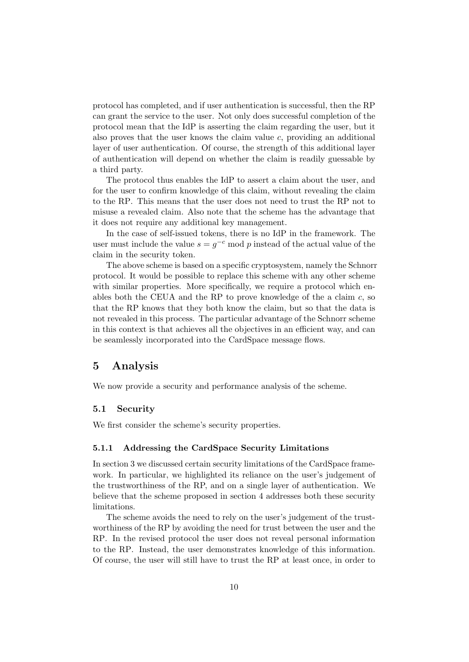protocol has completed, and if user authentication is successful, then the RP can grant the service to the user. Not only does successful completion of the protocol mean that the IdP is asserting the claim regarding the user, but it also proves that the user knows the claim value c, providing an additional layer of user authentication. Of course, the strength of this additional layer of authentication will depend on whether the claim is readily guessable by a third party.

The protocol thus enables the IdP to assert a claim about the user, and for the user to confirm knowledge of this claim, without revealing the claim to the RP. This means that the user does not need to trust the RP not to misuse a revealed claim. Also note that the scheme has the advantage that it does not require any additional key management.

In the case of self-issued tokens, there is no IdP in the framework. The user must include the value  $s = g^{-c}$  mod p instead of the actual value of the claim in the security token.

The above scheme is based on a specific cryptosystem, namely the Schnorr protocol. It would be possible to replace this scheme with any other scheme with similar properties. More specifically, we require a protocol which enables both the CEUA and the RP to prove knowledge of the a claim c, so that the RP knows that they both know the claim, but so that the data is not revealed in this process. The particular advantage of the Schnorr scheme in this context is that achieves all the objectives in an efficient way, and can be seamlessly incorporated into the CardSpace message flows.

# 5 Analysis

We now provide a security and performance analysis of the scheme.

### 5.1 Security

We first consider the scheme's security properties.

### 5.1.1 Addressing the CardSpace Security Limitations

In section 3 we discussed certain security limitations of the CardSpace framework. In particular, we highlighted its reliance on the user's judgement of the trustworthiness of the RP, and on a single layer of authentication. We believe that the scheme proposed in section 4 addresses both these security limitations.

The scheme avoids the need to rely on the user's judgement of the trustworthiness of the RP by avoiding the need for trust between the user and the RP. In the revised protocol the user does not reveal personal information to the RP. Instead, the user demonstrates knowledge of this information. Of course, the user will still have to trust the RP at least once, in order to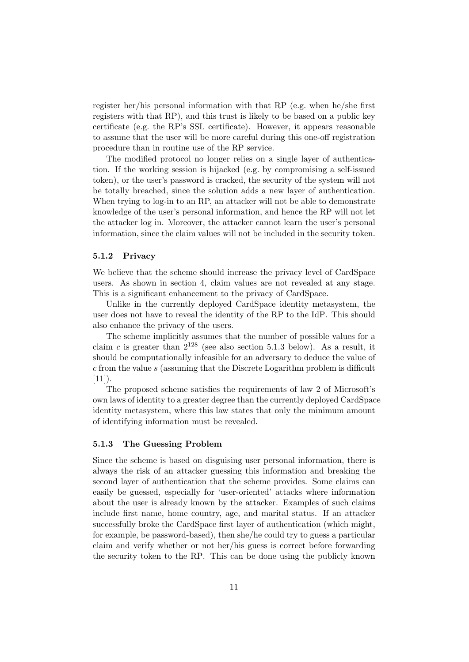register her/his personal information with that RP (e.g. when he/she first registers with that RP), and this trust is likely to be based on a public key certificate (e.g. the RP's SSL certificate). However, it appears reasonable to assume that the user will be more careful during this one-off registration procedure than in routine use of the RP service.

The modified protocol no longer relies on a single layer of authentication. If the working session is hijacked (e.g. by compromising a self-issued token), or the user's password is cracked, the security of the system will not be totally breached, since the solution adds a new layer of authentication. When trying to log-in to an RP, an attacker will not be able to demonstrate knowledge of the user's personal information, and hence the RP will not let the attacker log in. Moreover, the attacker cannot learn the user's personal information, since the claim values will not be included in the security token.

#### 5.1.2 Privacy

We believe that the scheme should increase the privacy level of CardSpace users. As shown in section 4, claim values are not revealed at any stage. This is a significant enhancement to the privacy of CardSpace.

Unlike in the currently deployed CardSpace identity metasystem, the user does not have to reveal the identity of the RP to the IdP. This should also enhance the privacy of the users.

The scheme implicitly assumes that the number of possible values for a claim c is greater than  $2^{128}$  (see also section 5.1.3 below). As a result, it should be computationally infeasible for an adversary to deduce the value of c from the value s (assuming that the Discrete Logarithm problem is difficult  $[11]$ ).

The proposed scheme satisfies the requirements of law 2 of Microsoft's own laws of identity to a greater degree than the currently deployed CardSpace identity metasystem, where this law states that only the minimum amount of identifying information must be revealed.

#### 5.1.3 The Guessing Problem

Since the scheme is based on disguising user personal information, there is always the risk of an attacker guessing this information and breaking the second layer of authentication that the scheme provides. Some claims can easily be guessed, especially for 'user-oriented' attacks where information about the user is already known by the attacker. Examples of such claims include first name, home country, age, and marital status. If an attacker successfully broke the CardSpace first layer of authentication (which might, for example, be password-based), then she/he could try to guess a particular claim and verify whether or not her/his guess is correct before forwarding the security token to the RP. This can be done using the publicly known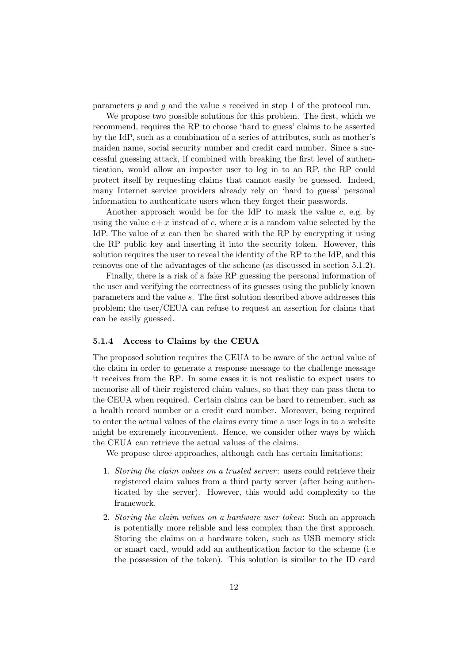parameters p and q and the value s received in step 1 of the protocol run.

We propose two possible solutions for this problem. The first, which we recommend, requires the RP to choose 'hard to guess' claims to be asserted by the IdP, such as a combination of a series of attributes, such as mother's maiden name, social security number and credit card number. Since a successful guessing attack, if combined with breaking the first level of authentication, would allow an imposter user to log in to an RP, the RP could protect itself by requesting claims that cannot easily be guessed. Indeed, many Internet service providers already rely on 'hard to guess' personal information to authenticate users when they forget their passwords.

Another approach would be for the IdP to mask the value  $c$ , e.g. by using the value  $c+x$  instead of c, where x is a random value selected by the IdP. The value of x can then be shared with the RP by encrypting it using the RP public key and inserting it into the security token. However, this solution requires the user to reveal the identity of the RP to the IdP, and this removes one of the advantages of the scheme (as discussed in section 5.1.2).

Finally, there is a risk of a fake RP guessing the personal information of the user and verifying the correctness of its guesses using the publicly known parameters and the value s. The first solution described above addresses this problem; the user/CEUA can refuse to request an assertion for claims that can be easily guessed.

#### 5.1.4 Access to Claims by the CEUA

The proposed solution requires the CEUA to be aware of the actual value of the claim in order to generate a response message to the challenge message it receives from the RP. In some cases it is not realistic to expect users to memorise all of their registered claim values, so that they can pass them to the CEUA when required. Certain claims can be hard to remember, such as a health record number or a credit card number. Moreover, being required to enter the actual values of the claims every time a user logs in to a website might be extremely inconvenient. Hence, we consider other ways by which the CEUA can retrieve the actual values of the claims.

We propose three approaches, although each has certain limitations:

- 1. Storing the claim values on a trusted server: users could retrieve their registered claim values from a third party server (after being authenticated by the server). However, this would add complexity to the framework.
- 2. Storing the claim values on a hardware user token: Such an approach is potentially more reliable and less complex than the first approach. Storing the claims on a hardware token, such as USB memory stick or smart card, would add an authentication factor to the scheme (i.e the possession of the token). This solution is similar to the ID card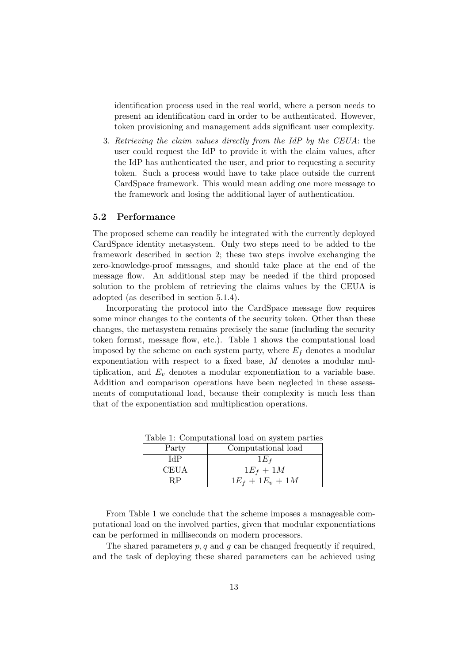identification process used in the real world, where a person needs to present an identification card in order to be authenticated. However, token provisioning and management adds significant user complexity.

3. Retrieving the claim values directly from the IdP by the CEUA: the user could request the IdP to provide it with the claim values, after the IdP has authenticated the user, and prior to requesting a security token. Such a process would have to take place outside the current CardSpace framework. This would mean adding one more message to the framework and losing the additional layer of authentication.

#### 5.2 Performance

The proposed scheme can readily be integrated with the currently deployed CardSpace identity metasystem. Only two steps need to be added to the framework described in section 2; these two steps involve exchanging the zero-knowledge-proof messages, and should take place at the end of the message flow. An additional step may be needed if the third proposed solution to the problem of retrieving the claims values by the CEUA is adopted (as described in section 5.1.4).

Incorporating the protocol into the CardSpace message flow requires some minor changes to the contents of the security token. Other than these changes, the metasystem remains precisely the same (including the security token format, message flow, etc.). Table 1 shows the computational load imposed by the scheme on each system party, where  $E_f$  denotes a modular exponentiation with respect to a fixed base, M denotes a modular multiplication, and  $E_v$  denotes a modular exponentiation to a variable base. Addition and comparison operations have been neglected in these assessments of computational load, because their complexity is much less than that of the exponentiation and multiplication operations.

| Party | Computational load |
|-------|--------------------|
| ЫP    | $1E_f$             |
| CEUA  | $1E_f + 1M$        |
|       | $1E_f + 1E_v + 1M$ |

Table 1: Computational load on system parties

From Table 1 we conclude that the scheme imposes a manageable computational load on the involved parties, given that modular exponentiations can be performed in milliseconds on modern processors.

The shared parameters  $p, q$  and  $q$  can be changed frequently if required, and the task of deploying these shared parameters can be achieved using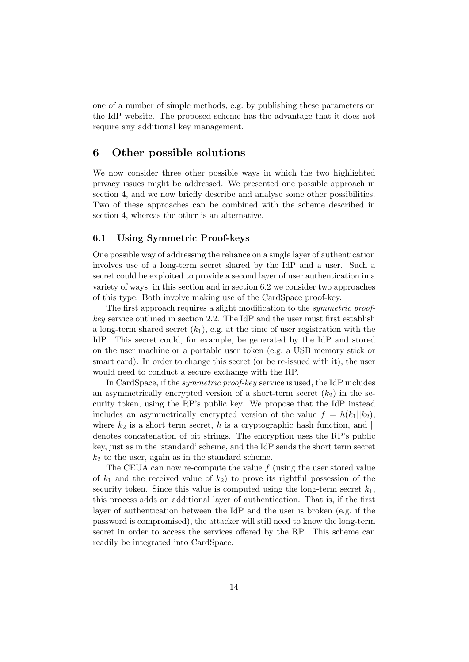one of a number of simple methods, e.g. by publishing these parameters on the IdP website. The proposed scheme has the advantage that it does not require any additional key management.

# 6 Other possible solutions

We now consider three other possible ways in which the two highlighted privacy issues might be addressed. We presented one possible approach in section 4, and we now briefly describe and analyse some other possibilities. Two of these approaches can be combined with the scheme described in section 4, whereas the other is an alternative.

### 6.1 Using Symmetric Proof-keys

One possible way of addressing the reliance on a single layer of authentication involves use of a long-term secret shared by the IdP and a user. Such a secret could be exploited to provide a second layer of user authentication in a variety of ways; in this section and in section 6.2 we consider two approaches of this type. Both involve making use of the CardSpace proof-key.

The first approach requires a slight modification to the *symmetric proof*key service outlined in section 2.2. The IdP and the user must first establish a long-term shared secret  $(k_1)$ , e.g. at the time of user registration with the IdP. This secret could, for example, be generated by the IdP and stored on the user machine or a portable user token (e.g. a USB memory stick or smart card). In order to change this secret (or be re-issued with it), the user would need to conduct a secure exchange with the RP.

In CardSpace, if the symmetric proof-key service is used, the IdP includes an asymmetrically encrypted version of a short-term secret  $(k_2)$  in the security token, using the RP's public key. We propose that the IdP instead includes an asymmetrically encrypted version of the value  $f = h(k_1||k_2)$ , where  $k_2$  is a short term secret, h is a cryptographic hash function, and  $\parallel$ denotes concatenation of bit strings. The encryption uses the RP's public key, just as in the 'standard' scheme, and the IdP sends the short term secret  $k_2$  to the user, again as in the standard scheme.

The CEUA can now re-compute the value  $f$  (using the user stored value of  $k_1$  and the received value of  $k_2$ ) to prove its rightful possession of the security token. Since this value is computed using the long-term secret  $k_1$ , this process adds an additional layer of authentication. That is, if the first layer of authentication between the IdP and the user is broken (e.g. if the password is compromised), the attacker will still need to know the long-term secret in order to access the services offered by the RP. This scheme can readily be integrated into CardSpace.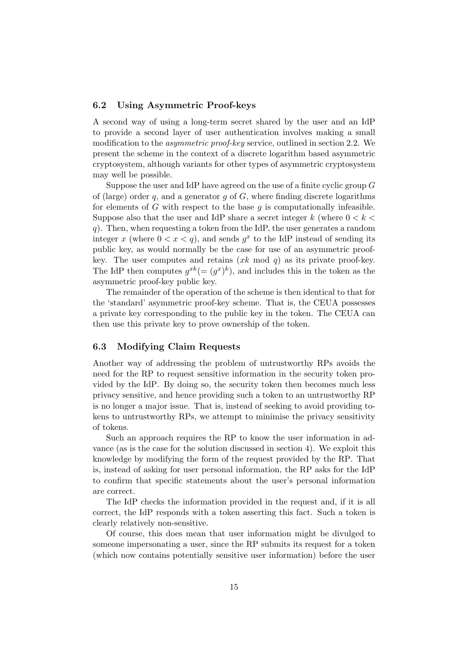### 6.2 Using Asymmetric Proof-keys

A second way of using a long-term secret shared by the user and an IdP to provide a second layer of user authentication involves making a small modification to the *asymmetric proof-key* service, outlined in section 2.2. We present the scheme in the context of a discrete logarithm based asymmetric cryptosystem, although variants for other types of asymmetric cryptosystem may well be possible.

Suppose the user and IdP have agreed on the use of a finite cyclic group G of (large) order q, and a generator  $g$  of  $G$ , where finding discrete logarithms for elements of G with respect to the base  $q$  is computationally infeasible. Suppose also that the user and IdP share a secret integer k (where  $0 < k <$ q). Then, when requesting a token from the IdP, the user generates a random integer x (where  $0 < x < q$ ), and sends  $g^x$  to the IdP instead of sending its public key, as would normally be the case for use of an asymmetric proofkey. The user computes and retains  $(xk \mod q)$  as its private proof-key. The IdP then computes  $g^{xk} (= (g^x)^k)$ , and includes this in the token as the asymmetric proof-key public key.

The remainder of the operation of the scheme is then identical to that for the 'standard' asymmetric proof-key scheme. That is, the CEUA possesses a private key corresponding to the public key in the token. The CEUA can then use this private key to prove ownership of the token.

#### 6.3 Modifying Claim Requests

Another way of addressing the problem of untrustworthy RPs avoids the need for the RP to request sensitive information in the security token provided by the IdP. By doing so, the security token then becomes much less privacy sensitive, and hence providing such a token to an untrustworthy RP is no longer a major issue. That is, instead of seeking to avoid providing tokens to untrustworthy RPs, we attempt to minimise the privacy sensitivity of tokens.

Such an approach requires the RP to know the user information in advance (as is the case for the solution discussed in section 4). We exploit this knowledge by modifying the form of the request provided by the RP. That is, instead of asking for user personal information, the RP asks for the IdP to confirm that specific statements about the user's personal information are correct.

The IdP checks the information provided in the request and, if it is all correct, the IdP responds with a token asserting this fact. Such a token is clearly relatively non-sensitive.

Of course, this does mean that user information might be divulged to someone impersonating a user, since the RP submits its request for a token (which now contains potentially sensitive user information) before the user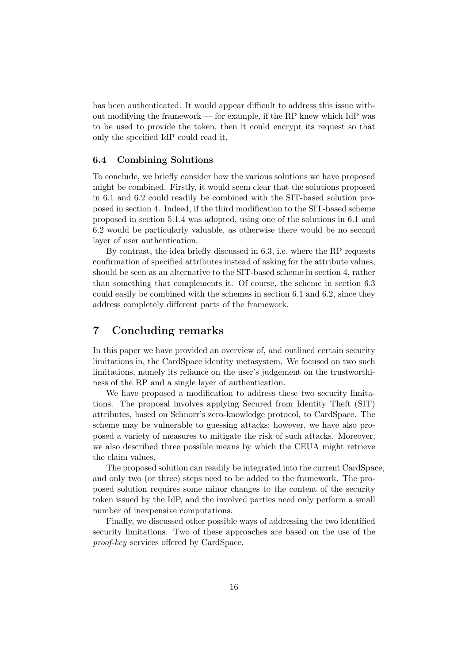has been authenticated. It would appear difficult to address this issue without modifying the framework — for example, if the RP knew which IdP was to be used to provide the token, then it could encrypt its request so that only the specified IdP could read it.

#### 6.4 Combining Solutions

To conclude, we briefly consider how the various solutions we have proposed might be combined. Firstly, it would seem clear that the solutions proposed in 6.1 and 6.2 could readily be combined with the SIT-based solution proposed in section 4. Indeed, if the third modification to the SIT-based scheme proposed in section 5.1.4 was adopted, using one of the solutions in 6.1 and 6.2 would be particularly valuable, as otherwise there would be no second layer of user authentication.

By contrast, the idea briefly discussed in 6.3, i.e. where the RP requests confirmation of specified attributes instead of asking for the attribute values, should be seen as an alternative to the SIT-based scheme in section 4, rather than something that complements it. Of course, the scheme in section 6.3 could easily be combined with the schemes in section 6.1 and 6.2, since they address completely different parts of the framework.

# 7 Concluding remarks

In this paper we have provided an overview of, and outlined certain security limitations in, the CardSpace identity metasystem. We focused on two such limitations, namely its reliance on the user's judgement on the trustworthiness of the RP and a single layer of authentication.

We have proposed a modification to address these two security limitations. The proposal involves applying Secured from Identity Theft (SIT) attributes, based on Schnorr's zero-knowledge protocol, to CardSpace. The scheme may be vulnerable to guessing attacks; however, we have also proposed a variety of measures to mitigate the risk of such attacks. Moreover, we also described three possible means by which the CEUA might retrieve the claim values.

The proposed solution can readily be integrated into the current CardSpace, and only two (or three) steps need to be added to the framework. The proposed solution requires some minor changes to the content of the security token issued by the IdP, and the involved parties need only perform a small number of inexpensive computations.

Finally, we discussed other possible ways of addressing the two identified security limitations. Two of these approaches are based on the use of the proof-key services offered by CardSpace.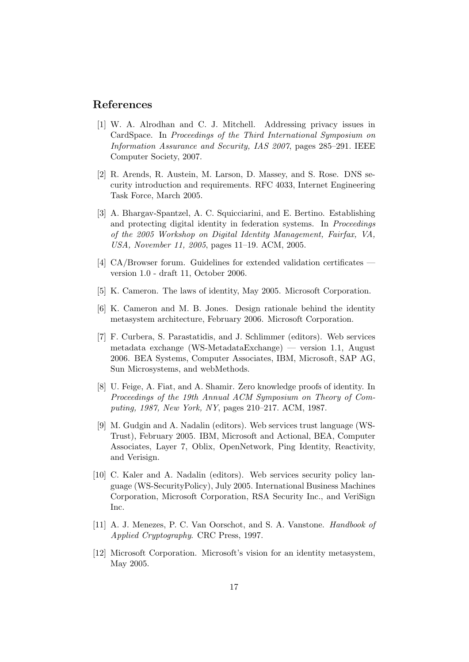### References

- [1] W. A. Alrodhan and C. J. Mitchell. Addressing privacy issues in CardSpace. In Proceedings of the Third International Symposium on Information Assurance and Security, IAS 2007, pages 285–291. IEEE Computer Society, 2007.
- [2] R. Arends, R. Austein, M. Larson, D. Massey, and S. Rose. DNS security introduction and requirements. RFC 4033, Internet Engineering Task Force, March 2005.
- [3] A. Bhargav-Spantzel, A. C. Squicciarini, and E. Bertino. Establishing and protecting digital identity in federation systems. In Proceedings of the 2005 Workshop on Digital Identity Management, Fairfax, VA, USA, November 11, 2005, pages 11–19. ACM, 2005.
- [4] CA/Browser forum. Guidelines for extended validation certificates version 1.0 - draft 11, October 2006.
- [5] K. Cameron. The laws of identity, May 2005. Microsoft Corporation.
- [6] K. Cameron and M. B. Jones. Design rationale behind the identity metasystem architecture, February 2006. Microsoft Corporation.
- [7] F. Curbera, S. Parastatidis, and J. Schlimmer (editors). Web services metadata exchange (WS-MetadataExchange) — version 1.1, August 2006. BEA Systems, Computer Associates, IBM, Microsoft, SAP AG, Sun Microsystems, and webMethods.
- [8] U. Feige, A. Fiat, and A. Shamir. Zero knowledge proofs of identity. In Proceedings of the 19th Annual ACM Symposium on Theory of Computing, 1987, New York, NY, pages 210–217. ACM, 1987.
- [9] M. Gudgin and A. Nadalin (editors). Web services trust language (WS-Trust), February 2005. IBM, Microsoft and Actional, BEA, Computer Associates, Layer 7, Oblix, OpenNetwork, Ping Identity, Reactivity, and Verisign.
- [10] C. Kaler and A. Nadalin (editors). Web services security policy language (WS-SecurityPolicy), July 2005. International Business Machines Corporation, Microsoft Corporation, RSA Security Inc., and VeriSign Inc.
- [11] A. J. Menezes, P. C. Van Oorschot, and S. A. Vanstone. Handbook of Applied Cryptography. CRC Press, 1997.
- [12] Microsoft Corporation. Microsoft's vision for an identity metasystem, May 2005.